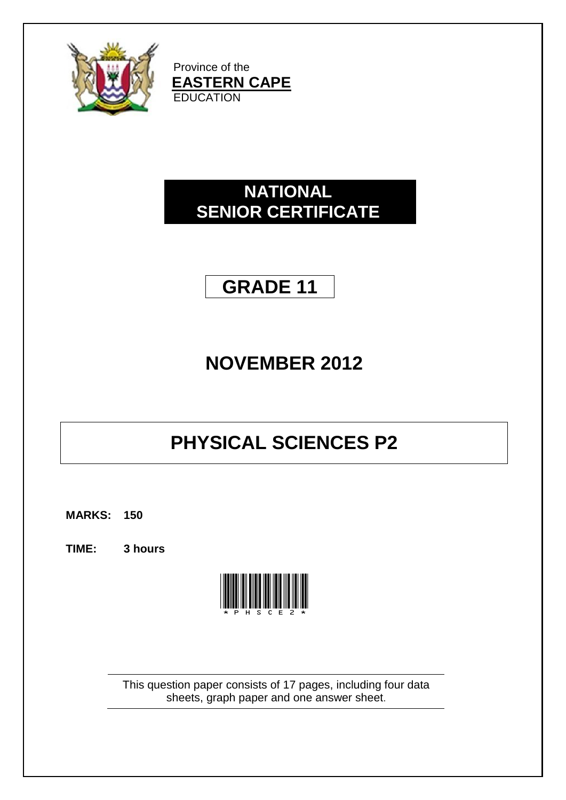

Province of the **EASTERN CAPE EDUCATION** 

## **NATIONAL SENIOR CERTIFICATE**

## **GRADE 11**

# **NOVEMBER 2012**

# **PHYSICAL SCIENCES P2**

**MARKS: 150**

**TIME: 3 hours**



This question paper consists of 17 pages, including four data sheets, graph paper and one answer sheet.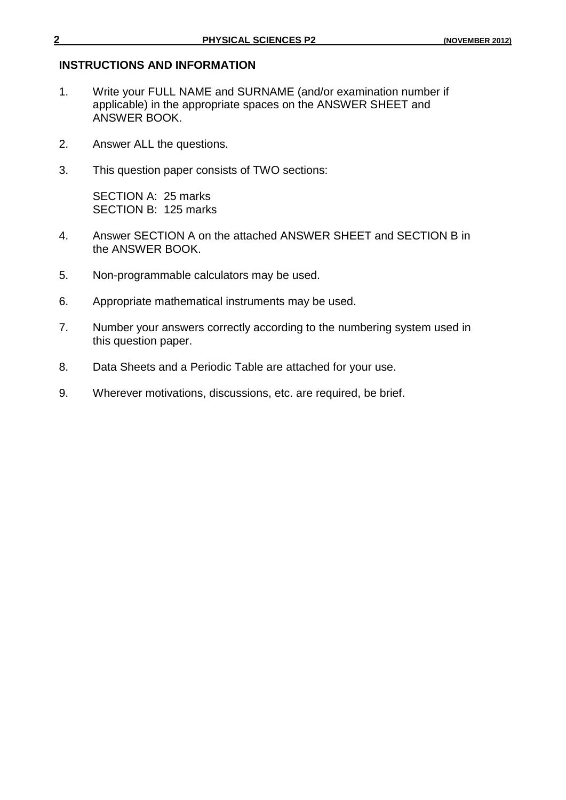#### **INSTRUCTIONS AND INFORMATION**

- 1. Write your FULL NAME and SURNAME (and/or examination number if applicable) in the appropriate spaces on the ANSWER SHEET and ANSWER BOOK.
- 2. Answer ALL the questions.
- 3. This question paper consists of TWO sections:

SECTION A: 25 marks SECTION B: 125 marks

- 4. Answer SECTION A on the attached ANSWER SHEET and SECTION B in the ANSWER BOOK.
- 5. Non-programmable calculators may be used.
- 6. Appropriate mathematical instruments may be used.
- 7. Number your answers correctly according to the numbering system used in this question paper.
- 8. Data Sheets and a Periodic Table are attached for your use.
- 9. Wherever motivations, discussions, etc. are required, be brief.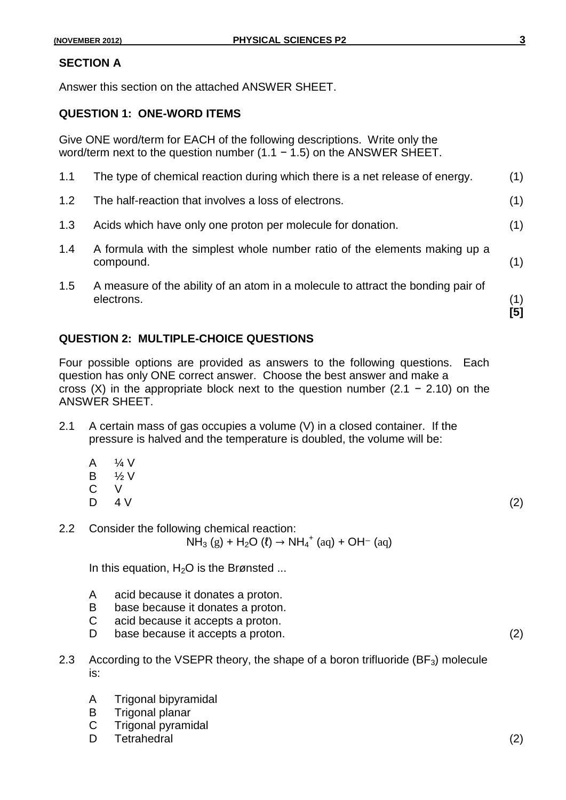## **SECTION A**

Answer this section on the attached ANSWER SHEET.

## **QUESTION 1: ONE-WORD ITEMS**

Give ONE word/term for EACH of the following descriptions. Write only the word/term next to the question number (1.1 − 1.5) on the ANSWER SHEET.

|     |                                                                                                | [5] |
|-----|------------------------------------------------------------------------------------------------|-----|
| 1.5 | A measure of the ability of an atom in a molecule to attract the bonding pair of<br>electrons. | (1) |
| 1.4 | A formula with the simplest whole number ratio of the elements making up a<br>compound.        | (1) |
| 1.3 | Acids which have only one proton per molecule for donation.                                    | (1) |
| 1.2 | The half-reaction that involves a loss of electrons.                                           | (1) |
| 1.1 | The type of chemical reaction during which there is a net release of energy.                   | (1) |

## **QUESTION 2: MULTIPLE-CHOICE QUESTIONS**

Four possible options are provided as answers to the following questions. Each question has only ONE correct answer. Choose the best answer and make a cross (X) in the appropriate block next to the question number (2.1 – 2.10) on the ANSWER SHEET.

- 2.1 A certain mass of gas occupies a volume (V) in a closed container. If the pressure is halved and the temperature is doubled, the volume will be:
	- A ¼ V
	- B ½ V
	- C V
	- D  $4 \text{V}$  (2)

2.2 Consider the following chemical reaction:  $NH_3$  (g) + H<sub>2</sub>O (l)  $\rightarrow$  NH<sub>4</sub><sup>+</sup> (aq) + OH<sup>-</sup> (aq)

In this equation,  $H<sub>2</sub>O$  is the Brønsted ...

- A acid because it donates a proton.
- B base because it donates a proton.
- C acid because it accepts a proton.
- D base because it accepts a proton. (2)
- 2.3 According to the VSEPR theory, the shape of a boron trifluoride  $(BF_3)$  molecule is:
	- A Trigonal bipyramidal
	- B Trigonal planar
	- C Trigonal pyramidal
	- D Tetrahedral (2)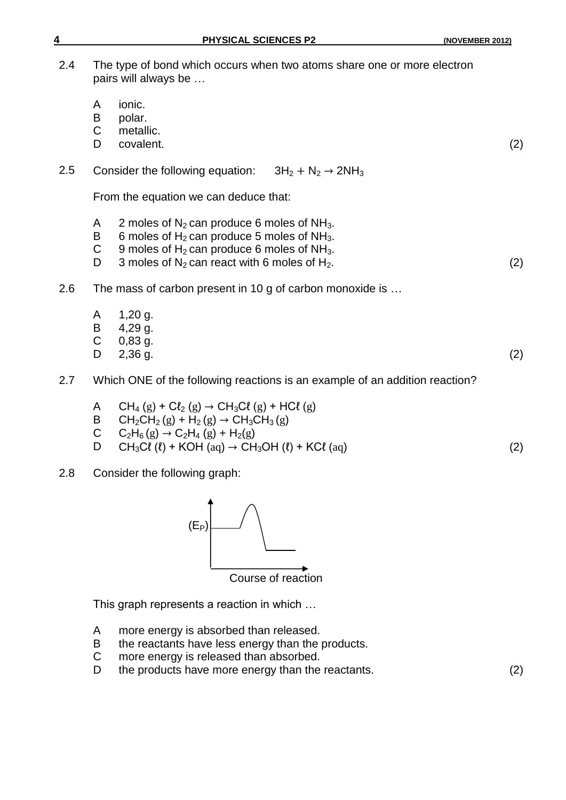| 4   | <b>PHYSICAL SCIENCES P2</b>                                                                                                                                                                                                                          | (NOVEMBER 2012) |
|-----|------------------------------------------------------------------------------------------------------------------------------------------------------------------------------------------------------------------------------------------------------|-----------------|
| 2.4 | The type of bond which occurs when two atoms share one or more electron<br>pairs will always be                                                                                                                                                      |                 |
|     | ionic.<br>A<br>B<br>polar.<br>C<br>metallic.<br>covalent.<br>D                                                                                                                                                                                       | (2)             |
| 2.5 | Consider the following equation: $3H_2 + N_2 \rightarrow 2NH_3$                                                                                                                                                                                      |                 |
|     | From the equation we can deduce that:                                                                                                                                                                                                                |                 |
|     | 2 moles of $N_2$ can produce 6 moles of $NH_3$ .<br>A<br>6 moles of $H_2$ can produce 5 moles of NH <sub>3</sub> .<br>B<br>9 moles of $H_2$ can produce 6 moles of NH <sub>3</sub> .<br>С<br>3 moles of $N_2$ can react with 6 moles of $H_2$ .<br>D | (2)             |
| 2.6 | The mass of carbon present in 10 g of carbon monoxide is                                                                                                                                                                                             |                 |
|     | $1,20$ g.<br>A<br>$4,29$ g.<br>B<br>$\mathsf C$<br>$0,83$ g.<br>$2,36$ g.<br>D                                                                                                                                                                       | (2)             |
| 2.7 | Which ONE of the following reactions is an example of an addition reaction?                                                                                                                                                                          |                 |
|     | $CH_4(g) + Cl_2(g) \rightarrow CH_3Cl(g) + HCl(g)$<br>A<br>$CH_2CH_2(g) + H_2(g) \rightarrow CH_3CH_3(g)$<br>B<br>С<br>$C_2H_6(g) \rightarrow C_2H_4(g) + H_2(g)$<br>$CH_3Cl$ (l) + KOH (aq) $\rightarrow$ CH <sub>3</sub> OH (l) + KCl (aq)<br>D    | (2)             |

2.8 Consider the following graph:



This graph represents a reaction in which …

- A more energy is absorbed than released.
- B the reactants have less energy than the products.<br>C more energy is released than absorbed.
- more energy is released than absorbed.
- D the products have more energy than the reactants. (2)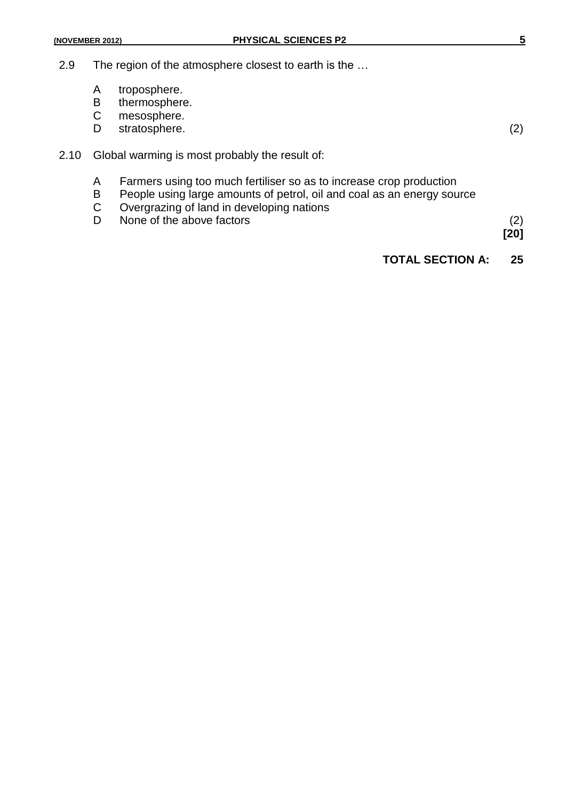- A troposphere.<br>B thermosphere
- thermosphere.
- C mesosphere.<br>D stratosphere.
- stratosphere. (2)

- 2.10 Global warming is most probably the result of:
	- A Farmers using too much fertiliser so as to increase crop production<br>B People using large amounts of petrol, oil and coal as an energy sou
	- B People using large amounts of petrol, oil and coal as an energy source<br>C Overgrazing of land in developing nations
	- Overgrazing of land in developing nations
	- D None of the above factors (2)

**[20]**

## **TOTAL SECTION A: 25**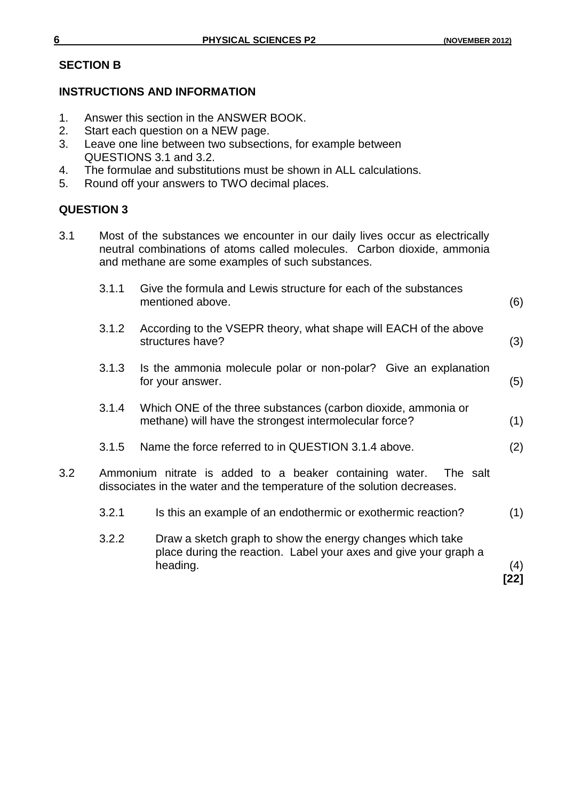## **SECTION B**

## **INSTRUCTIONS AND INFORMATION**

- 1. Answer this section in the ANSWER BOOK.<br>2. Start each question on a NEW page.
- Start each question on a NEW page.
- 3. Leave one line between two subsections, for example between QUESTIONS 3.1 and 3.2.
- 4. The formulae and substitutions must be shown in ALL calculations.
- 5. Round off your answers to TWO decimal places.

## **QUESTION 3**

3.1 Most of the substances we encounter in our daily lives occur as electrically neutral combinations of atoms called molecules. Carbon dioxide, ammonia and methane are some examples of such substances.

|         | 3.1.1 | Give the formula and Lewis structure for each of the substances<br>mentioned above.                                                            | (6)  |
|---------|-------|------------------------------------------------------------------------------------------------------------------------------------------------|------|
|         | 3.1.2 | According to the VSEPR theory, what shape will EACH of the above<br>structures have?                                                           | (3)  |
|         | 3.1.3 | Is the ammonia molecule polar or non-polar? Give an explanation<br>for your answer.                                                            | (5)  |
|         | 3.1.4 | Which ONE of the three substances (carbon dioxide, ammonia or<br>methane) will have the strongest intermolecular force?                        | (1)  |
|         | 3.1.5 | Name the force referred to in QUESTION 3.1.4 above.                                                                                            | (2)  |
| $3.2\,$ |       | Ammonium nitrate is added to a beaker containing water.<br>The salt<br>dissociates in the water and the temperature of the solution decreases. |      |
|         | 3.2.1 | Is this an example of an endothermic or exothermic reaction?                                                                                   | (1)  |
|         | 3.2.2 | Draw a sketch graph to show the energy changes which take<br>place during the reaction. Label your axes and give your graph a<br>heading.      | (4)  |
|         |       |                                                                                                                                                | [22] |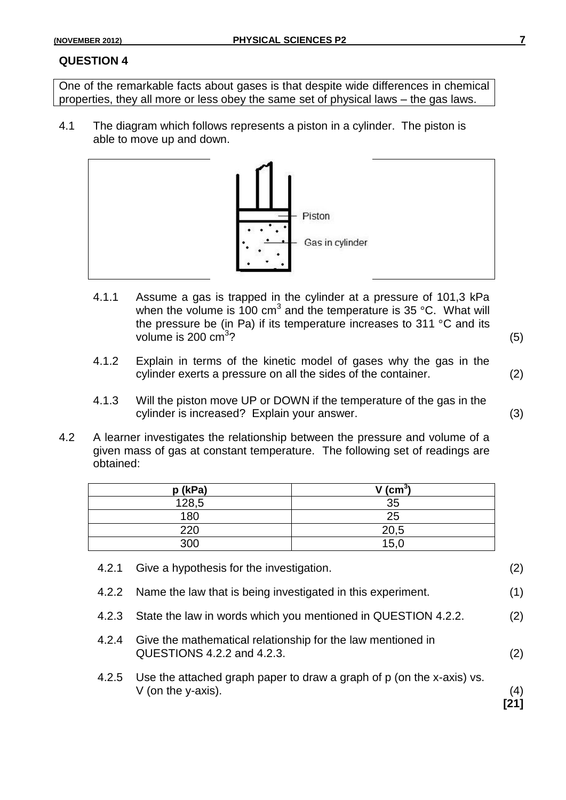One of the remarkable facts about gases is that despite wide differences in chemical properties, they all more or less obey the same set of physical laws – the gas laws.

4.1 The diagram which follows represents a piston in a cylinder. The piston is able to move up and down.



- 4.1.1 Assume a gas is trapped in the cylinder at a pressure of 101,3 kPa when the volume is 100 cm<sup>3</sup> and the temperature is 35 °C. What will the pressure be (in Pa) if its temperature increases to 311 °C and its volume is 200  $\text{cm}^3$ ? ?  $(5)$
- 4.1.2 Explain in terms of the kinetic model of gases why the gas in the cylinder exerts a pressure on all the sides of the container. (2)
- 4.1.3 Will the piston move UP or DOWN if the temperature of the gas in the cylinder is increased? Explain your answer. (3)
- 4.2 A learner investigates the relationship between the pressure and volume of a given mass of gas at constant temperature. The following set of readings are obtained:

| p (kPa) | V (cm $^3$ |
|---------|------------|
| 128,5   | 35         |
| 180     | 25         |
| 220     | 20,5       |
| 300     | 15,0       |

4.2.1 Give a hypothesis for the investigation. (2) 4.2.2 Name the law that is being investigated in this experiment. (1) 4.2.3 State the law in words which you mentioned in QUESTION 4.2.2. (2) 4.2.4 Give the mathematical relationship for the law mentioned in QUESTIONS 4.2.2 and 4.2.3. (2) 4.2.5 Use the attached graph paper to draw a graph of p (on the x-axis) vs.  $V$  (on the y-axis).  $(4)$ **[21]**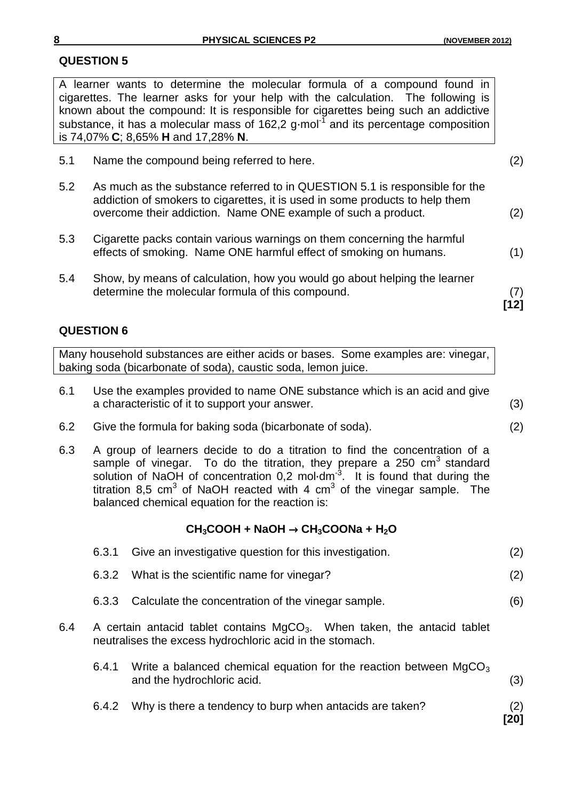A learner wants to determine the molecular formula of a compound found in cigarettes. The learner asks for your help with the calculation. The following is known about the compound: It is responsible for cigarettes being such an addictive substance, it has a molecular mass of 162,2 g⋅mol<sup>-1</sup> and its percentage composition is 74,07% **C**; 8,65% **H** and 17,28% **N**.

| Name the compound being referred to here. | (2) |
|-------------------------------------------|-----|
|                                           |     |
|                                           |     |

- 5.2 As much as the substance referred to in QUESTION 5.1 is responsible for the addiction of smokers to cigarettes, it is used in some products to help them overcome their addiction. Name ONE example of such a product. (2)
- 5.3 Cigarette packs contain various warnings on them concerning the harmful effects of smoking. Name ONE harmful effect of smoking on humans. (1)
- 5.4 Show, by means of calculation, how you would go about helping the learner determine the molecular formula of this compound. (7)

**[12]**

## **QUESTION 6**

Many household substances are either acids or bases. Some examples are: vinegar, baking soda (bicarbonate of soda), caustic soda, lemon juice.

- 6.1 Use the examples provided to name ONE substance which is an acid and give a characteristic of it to support your answer. (3)
- 6.2 Give the formula for baking soda (bicarbonate of soda). (2)
- 6.3 A group of learners decide to do a titration to find the concentration of a sample of vinegar. To do the titration, they prepare a 250  $cm<sup>3</sup>$  standard solution of NaOH of concentration 0,2 mol⋅dm<sup>-3</sup>. It is found that during the titration 8,5 cm<sup>3</sup> of NaOH reacted with 4 cm<sup>3</sup> of the vinegar sample. The balanced chemical equation for the reaction is:

## $CH_3COOH + NaOH \rightarrow CH_3COONa + H_2O$

|     | 6.3.1                                                                                                                                            | Give an investigative question for this investigation.                                                      | (2)        |
|-----|--------------------------------------------------------------------------------------------------------------------------------------------------|-------------------------------------------------------------------------------------------------------------|------------|
|     | 6.3.2                                                                                                                                            | What is the scientific name for vinegar?                                                                    | (2)        |
|     | 6.3.3                                                                                                                                            | Calculate the concentration of the vinegar sample.                                                          | (6)        |
| 6.4 | A certain antacid tablet contains MgCO <sub>3</sub> . When taken, the antacid tablet<br>neutralises the excess hydrochloric acid in the stomach. |                                                                                                             |            |
|     | 6.4.1                                                                                                                                            | Write a balanced chemical equation for the reaction between MgCO <sub>3</sub><br>and the hydrochloric acid. | (3)        |
|     | 6.4.2                                                                                                                                            | Why is there a tendency to burp when antacids are taken?                                                    | (2)<br>201 |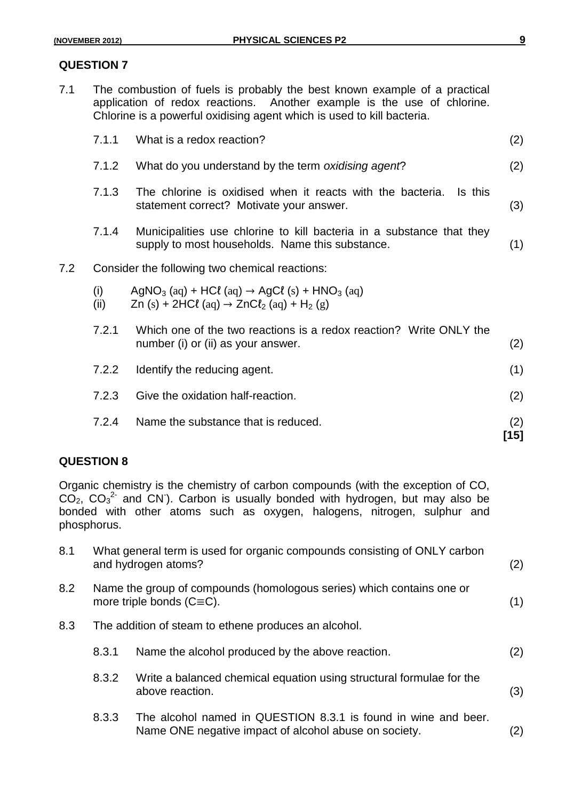7.1 The combustion of fuels is probably the best known example of a practical application of redox reactions. Another example is the use of chlorine. Chlorine is a powerful oxidising agent which is used to kill bacteria.

|     | 7.1.1       | What is a redox reaction?                                                                                                                                        | (2)         |
|-----|-------------|------------------------------------------------------------------------------------------------------------------------------------------------------------------|-------------|
|     | 7.1.2       | What do you understand by the term oxidising agent?                                                                                                              | (2)         |
|     | 7.1.3       | The chlorine is oxidised when it reacts with the bacteria.<br>Is this<br>statement correct? Motivate your answer.                                                | (3)         |
|     | 7.1.4       | Municipalities use chlorine to kill bacteria in a substance that they<br>supply to most households. Name this substance.                                         | (1)         |
| 7.2 |             | Consider the following two chemical reactions:                                                                                                                   |             |
|     | (i)<br>(ii) | AgNO <sub>3</sub> (aq) + HCl (aq) $\rightarrow$ AgCl (s) + HNO <sub>3</sub> (aq)<br>Zn (s) + 2HCl (aq) $\rightarrow$ ZnCl <sub>2</sub> (aq) + H <sub>2</sub> (g) |             |
|     | 7.2.1       | Which one of the two reactions is a redox reaction? Write ONLY the<br>number (i) or (ii) as your answer.                                                         | (2)         |
|     | 7.2.2       | Identify the reducing agent.                                                                                                                                     | (1)         |
|     | 7.2.3       | Give the oxidation half-reaction.                                                                                                                                | (2)         |
|     | 7.2.4       | Name the substance that is reduced.                                                                                                                              | (2)<br>[15] |

## **QUESTION 8**

Organic chemistry is the chemistry of carbon compounds (with the exception of CO,  $CO<sub>2</sub>$ ,  $CO<sub>3</sub><sup>2</sup>$  and CN). Carbon is usually bonded with hydrogen, but may also be bonded with other atoms such as oxygen, halogens, nitrogen, sulphur and phosphorus.

| 8.1 |       | What general term is used for organic compounds consisting of ONLY carbon<br>and hydrogen atoms?                        | (2) |
|-----|-------|-------------------------------------------------------------------------------------------------------------------------|-----|
| 8.2 |       | Name the group of compounds (homologous series) which contains one or<br>more triple bonds $(C\equiv C)$ .              | (1) |
| 8.3 |       | The addition of steam to ethene produces an alcohol.                                                                    |     |
|     | 8.3.1 | Name the alcohol produced by the above reaction.                                                                        | (2) |
|     | 8.3.2 | Write a balanced chemical equation using structural formulae for the<br>above reaction.                                 | (3) |
|     | 8.3.3 | The alcohol named in QUESTION 8.3.1 is found in wine and beer.<br>Name ONE negative impact of alcohol abuse on society. | (2) |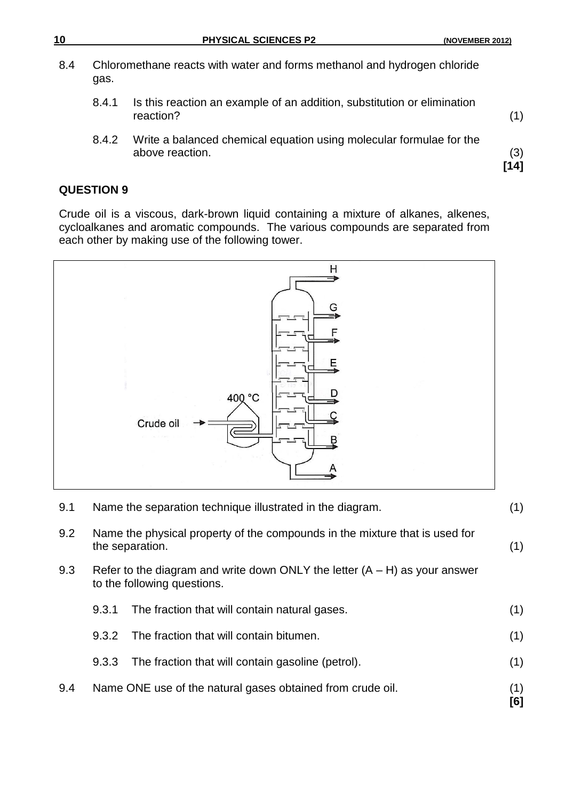| 10  |       | <b>PHYSICAL SCIENCES P2</b>                                                            | (NOVEMBER 2012) |
|-----|-------|----------------------------------------------------------------------------------------|-----------------|
| 8.4 | gas.  | Chloromethane reacts with water and forms methanol and hydrogen chloride               |                 |
|     | 8.4.1 | Is this reaction an example of an addition, substitution or elimination<br>reaction?   | (1)             |
|     | 8.4.2 | Write a balanced chemical equation using molecular formulae for the<br>above reaction. | (3)             |

**[14]**

#### **QUESTION 9**

Crude oil is a viscous, dark-brown liquid containing a mixture of alkanes, alkenes, cycloalkanes and aromatic compounds. The various compounds are separated from each other by making use of the following tower.



| 9.4 |                                                                                                | Name ONE use of the natural gases obtained from crude oil.                                                  | (1)<br>[6] |
|-----|------------------------------------------------------------------------------------------------|-------------------------------------------------------------------------------------------------------------|------------|
|     | 9.3.3                                                                                          | The fraction that will contain gasoline (petrol).                                                           | (1)        |
|     | 9.3.2                                                                                          | The fraction that will contain bitumen.                                                                     | (1)        |
|     | 9.3.1                                                                                          | The fraction that will contain natural gases.                                                               | (1)        |
| 9.3 |                                                                                                | Refer to the diagram and write down ONLY the letter $(A - H)$ as your answer<br>to the following questions. |            |
| 9.2 | Name the physical property of the compounds in the mixture that is used for<br>the separation. |                                                                                                             | (1)        |
| 9.1 | Name the separation technique illustrated in the diagram.                                      |                                                                                                             | (1)        |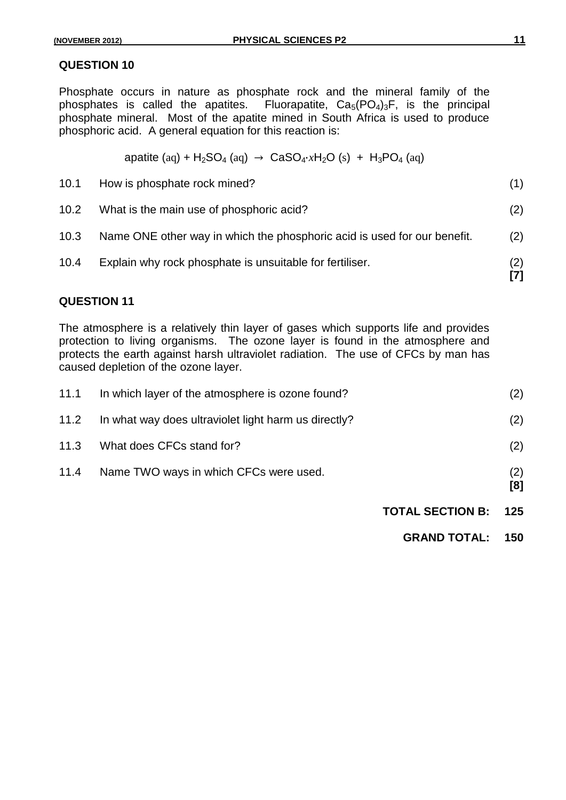Phosphate occurs in nature as phosphate rock and the mineral family of the phosphates is called the apatites. Fluorapatite,  $Ca<sub>5</sub>(PO<sub>4</sub>)<sub>3</sub>F$ , is the principal phosphate mineral. Most of the apatite mined in South Africa is used to produce phosphoric acid. A general equation for this reaction is:

apatite (aq) + H<sub>2</sub>SO<sub>4</sub> (aq) → CaSO<sub>4</sub>⋅*x*H<sub>2</sub>O (s) + H<sub>3</sub>PO<sub>4</sub> (aq)

- 10.1 How is phosphate rock mined? (1) 10.2 What is the main use of phosphoric acid? (2) 10.3 Name ONE other way in which the phosphoric acid is used for our benefit. (2)
- 10.4 Explain why rock phosphate is unsuitable for fertiliser. (2) **[7]**

## **QUESTION 11**

The atmosphere is a relatively thin layer of gases which supports life and provides protection to living organisms. The ozone layer is found in the atmosphere and protects the earth against harsh ultraviolet radiation. The use of CFCs by man has caused depletion of the ozone layer.

| 11.1 | In which layer of the atmosphere is ozone found?     |                         | (2)        |
|------|------------------------------------------------------|-------------------------|------------|
| 11.2 | In what way does ultraviolet light harm us directly? |                         | (2)        |
| 11.3 | What does CFCs stand for?                            |                         | (2)        |
| 11.4 | Name TWO ways in which CFCs were used.               |                         | (2)<br>[8] |
|      |                                                      | <b>TOTAL SECTION B:</b> | 125        |
|      |                                                      | <b>GRAND TOTAL:</b>     | 150        |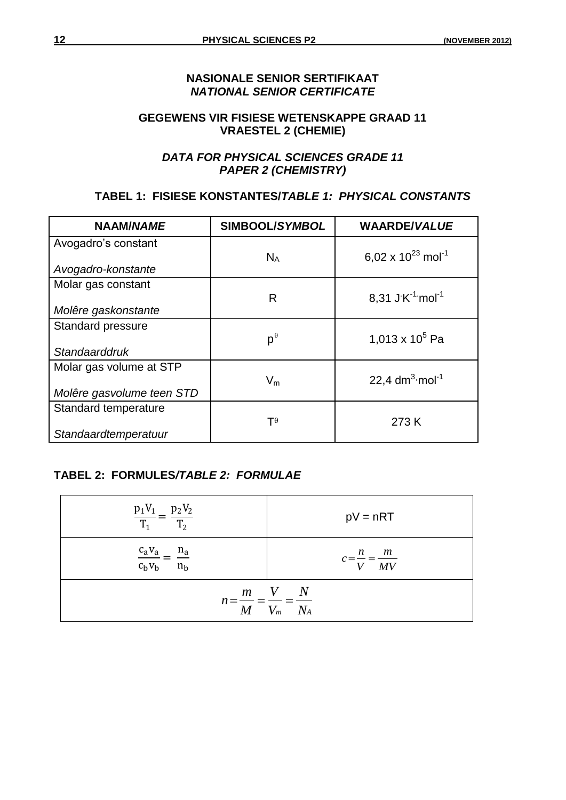## **NASIONALE SENIOR SERTIFIKAAT** *NATIONAL SENIOR CERTIFICATE*

## **GEGEWENS VIR FISIESE WETENSKAPPE GRAAD 11 VRAESTEL 2 (CHEMIE)**

## *DATA FOR PHYSICAL SCIENCES GRADE 11 PAPER 2 (CHEMISTRY)*

## **TABEL 1: FISIESE KONSTANTES/***TABLE 1: PHYSICAL CONSTANTS*

| <b>NAAM/NAME</b>                                     | SIMBOOL/SYMBOL        | <b>WAARDE/VALUE</b>                |
|------------------------------------------------------|-----------------------|------------------------------------|
| Avogadro's constant                                  | $N_A$                 | 6,02 x $10^{23}$ mol <sup>-1</sup> |
| Avogadro-konstante                                   |                       |                                    |
| Molar gas constant                                   | R                     | 8,31 J K $^{-1}$ mol <sup>-1</sup> |
| Molêre gaskonstante                                  |                       |                                    |
| <b>Standard pressure</b>                             | $p^{\theta}$          | 1,013 x $10^5$ Pa                  |
| Standaarddruk                                        |                       |                                    |
| Molar gas volume at STP<br>Molêre gasvolume teen STD | $V_m$                 | 22,4 $dm^3$ ·mol <sup>-1</sup>     |
|                                                      |                       |                                    |
| Standard temperature                                 | $\mathsf{T}^{\theta}$ | 273 K                              |
| Standaardtemperatuur                                 |                       |                                    |

## **TABEL 2: FORMULES***/TABLE 2: FORMULAE*

| $rac{p_1V_1}{T_1} = \frac{p_2V_2}{T_2}$           | $pV = nRT$                       |
|---------------------------------------------------|----------------------------------|
| $\frac{c_a v_a}{c_b v_b} = \frac{n_a}{n_b}$       | $c = \frac{n}{V} = \frac{m}{MV}$ |
| $n = \frac{N}{M} = \frac{N}{V_m} = \frac{N}{N_A}$ | $m$ V N                          |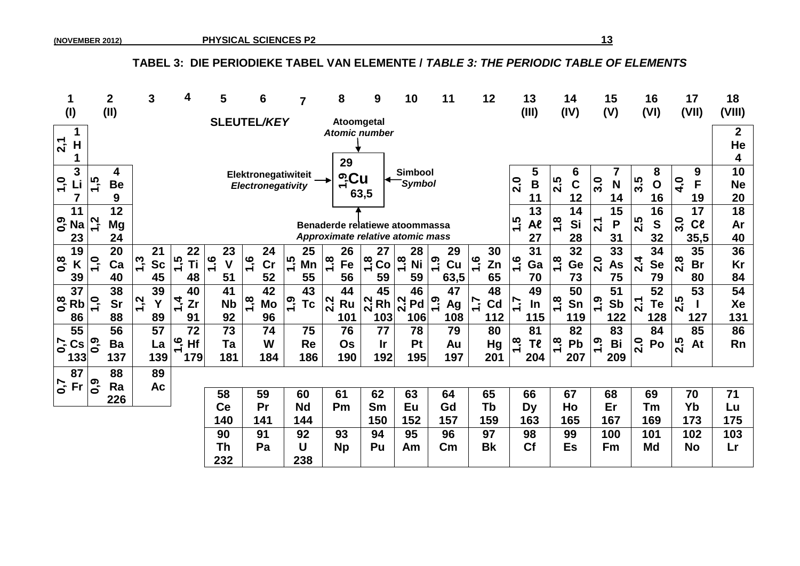## TABEL 3: DIE PERIODIEKE TABEL VAN ELEMENTE / TABLE 3: THE PERIODIC TABLE OF ELEMENTS

|                                             |                  | $\overline{\mathbf{2}}$ | 3                      | 4                     | 5   |           | 6                   | $\overline{7}$        | 8                                | 9                   | 10                              | 11                  | 12                  | 13                  | 14                       | 15                    | 16                           | 17<br>(VII)                     | 18              |
|---------------------------------------------|------------------|-------------------------|------------------------|-----------------------|-----|-----------|---------------------|-----------------------|----------------------------------|---------------------|---------------------------------|---------------------|---------------------|---------------------|--------------------------|-----------------------|------------------------------|---------------------------------|-----------------|
| (1)                                         |                  | (II)                    |                        |                       |     |           | <b>SLEUTEL/KEY</b>  |                       | Atoomgetal                       |                     |                                 |                     |                     | (III)               | (IV)                     | (V)                   | (VI)                         |                                 | (VIII)          |
|                                             |                  |                         |                        |                       |     |           |                     |                       | <b>Atomic number</b>             |                     |                                 |                     |                     |                     |                          |                       |                              |                                 | $\mathbf 2$     |
| 2,1<br>H                                    |                  |                         |                        |                       |     |           |                     |                       |                                  |                     |                                 |                     |                     |                     |                          |                       |                              |                                 | He              |
|                                             |                  |                         |                        |                       |     |           |                     |                       | 29                               |                     |                                 |                     |                     |                     |                          |                       |                              |                                 | 4               |
| 3<br>$\overline{1,0}$                       | ن<br>1<br>15     | 4                       |                        |                       |     |           | Elektronegatiwiteit |                       | <u>ு</u> Cu                      |                     | <b>Simbool</b><br><b>Symbol</b> |                     |                     | 5<br>$\overline{B}$ | 6                        |                       | 8<br>3.5                     | 9<br>F                          | 10              |
|                                             |                  | <b>Be</b><br>9          |                        |                       |     |           | Electronegativity   |                       | ᅮ                                | 63,5                |                                 |                     |                     | 2.0<br>11           | 2.5<br>$\mathbf C$<br>12 | 3.0<br>N<br>14        | $\mathbf O$<br>16            | $\frac{1}{4}$<br>19             | <b>Ne</b><br>20 |
| 11                                          |                  | 12                      |                        |                       |     |           |                     |                       |                                  |                     |                                 |                     |                     | 13                  | 14                       | 15                    | 16                           | 17                              | 18              |
| ၀.<br> <br><b>Na</b>                        | 1,2              | <b>Mg</b>               |                        |                       |     |           |                     |                       | Benaderde relatiewe atoommassa   |                     |                                 |                     |                     | 1.5<br>Al           | $\frac{8}{1}$<br>Si      | $\overline{2.1}$<br>P | 2.5<br>$\mathbf S$           | $\overline{3}$ .0<br>$c_{\ell}$ | Ar              |
| 23                                          |                  | 24                      |                        |                       |     |           |                     |                       | Approximate relative atomic mass |                     |                                 |                     |                     | 27                  | 28                       | 31                    | 32                           | 35,5                            | 40              |
| 19                                          |                  | 20                      | 21                     | 22                    |     | 23        | 24                  | 25                    | 26                               | 27                  | 28                              | 29                  | 30                  | 31                  | 32                       | 33                    | 34                           | 35                              | 36              |
| 0,8<br>K                                    | $\frac{1}{2}$    | Ca                      | <u>າິ</u><br><b>Sc</b> | $1\overline{5}$<br>Τi | 1,6 | V         | $\frac{1}{2}$<br>cr | $\ddot{1}$<br>Mn      | $rac{8}{7}$<br>Fe                | $\frac{8}{1}$<br>Co | $1\overline{8}$<br><b>Ni</b>    | <u>ი</u><br>7<br>Cu | $\frac{6}{7}$<br>Zn | $\frac{6}{7}$<br>Ga | $\frac{8}{1}$<br>Ge      | 2.0<br>As             | $2\overline{4}$<br><b>Se</b> | $\frac{8}{2}$<br><b>Br</b>      | Kr              |
| 39                                          |                  | 40                      | 45                     | 48                    | 51  |           | 52                  | 55                    | 56                               | 59                  | 59                              | 63,5                | 65                  | 70                  | 73                       | 75                    | 79                           | 80                              | 84              |
| 37                                          |                  | 38                      | 39                     | 40                    |     | 41        | 42                  | 43                    | 44                               | 45                  | 46                              | 47                  | 48                  | 49                  | 50                       | 51                    | 52                           | 53                              | 54              |
| 0,8<br><b>Rb</b>                            | $\overline{1}$   | <b>Sr</b>               | $\ddot{.}$<br>Y        | $\dot{4}$<br>Zr       |     | <b>Nb</b> | 1,8<br>Mo           | <u>ှ</u><br><b>Tc</b> | 2.2<br>Ru                        | 2.2<br>Rh           | 2.2<br>Pd                       | <u>ုဂ္</u><br>Ag    | 7.7<br>Cd           | $\ddot{ }$<br>In    | $1.\overline{8}$<br>Sn   | 0.9<br>Sb             | $\mathbf{z}$<br>Te           | 2.5                             | Xe              |
| 86                                          |                  | 88                      | 89                     | 91                    |     | 92        | 96                  |                       | 101                              | 103                 | 106                             | 108                 | 112                 | 115                 | 119                      | 122                   | 128                          | 127                             | 131             |
| 55                                          |                  | 56                      | 57                     | 72                    |     | 73        | 74                  | 75                    | 76                               | 77                  | 78                              | 79                  | 80                  | 81                  | 82                       | 83                    | 84                           | 85                              | 86              |
| $\mathcal{L}^{\mathbf{0}}$<br>$\mathsf{Cs}$ | $\overline{0,9}$ | Ba                      | La                     | ڡٜ<br>Hf              |     | Ta        | W                   | <b>Re</b>             | Os                               | <u>Ir</u>           | Pt                              | Au                  | <b>Hg</b>           | œ<br>Tl             | $1.\overline{8}$<br>Pb   | 0.1<br>Bi             | 2.0<br>Po                    | 2.5<br>At                       | <b>Rn</b>       |
| 133                                         |                  | 137                     | 139                    | 179                   |     | 181       | 184                 | 186                   | 190                              | 192                 | 195                             | 197                 | 201                 | 204                 | 207                      | 209                   |                              |                                 |                 |
| 87                                          |                  | 88                      | 89                     |                       |     |           |                     |                       |                                  |                     |                                 |                     |                     |                     |                          |                       |                              |                                 |                 |
| $\mathcal{L}^{\bullet}$<br><b>Fr</b>        | <b>0,0</b>       | Ra                      | Ac                     |                       | 58  |           | 59                  | 60                    | 61                               | 62                  | 63                              | 64                  | 65                  | 66                  | 67                       | 68                    | 69                           | 70                              | 71              |
|                                             |                  | 226                     |                        |                       | Ce  |           | Pr                  | <b>Nd</b>             | Pm                               | Sm                  | Eu                              | Gd                  | Tb                  | <b>Dy</b>           | Ho                       | Er                    | Тm                           | Yb                              | Lu              |
|                                             |                  |                         |                        |                       | 140 |           | 141                 | 144                   |                                  | 150                 | 152                             | 157                 | 159                 | 163                 | 165                      | 167                   | 169                          | 173                             | 175             |
|                                             |                  |                         |                        |                       | 90  |           | 91                  | 92                    | 93                               | 94                  | 95                              | 96                  | 97                  | 98                  | 99                       | 100                   | 101                          | 102                             | 103             |
|                                             |                  |                         |                        |                       | Th  |           | Pa                  | U                     | <b>Np</b>                        | Pu                  | Am                              | $\mathsf{Cm}$       | <b>Bk</b>           | <b>Cf</b>           | <b>Es</b>                | Fm                    | Md                           | <b>No</b>                       | Lr              |
|                                             |                  |                         |                        |                       | 232 |           |                     | 238                   |                                  |                     |                                 |                     |                     |                     |                          |                       |                              |                                 |                 |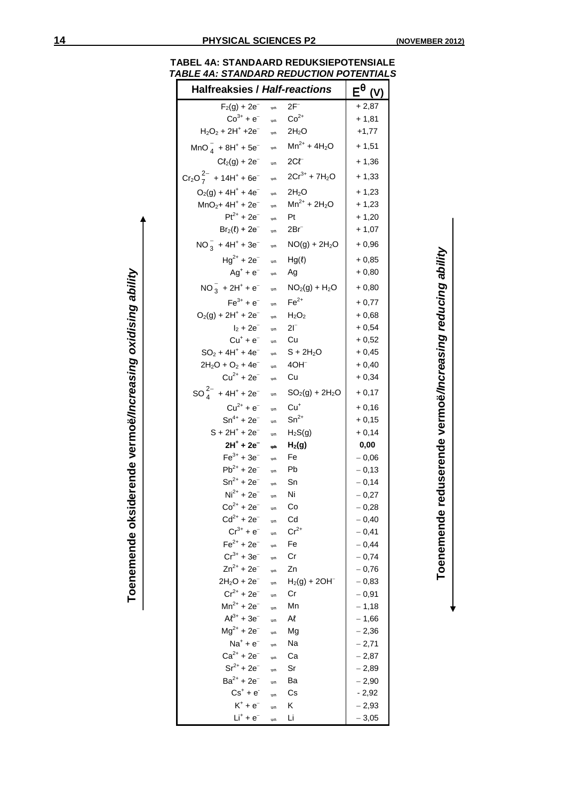Toenemende reduserende vermoë/Increasing reducing ability **Toenemende reduserende vermoë***/Increasing reducing ability*

| TABEL 4A: STANDAARD REDUKSIEPOTENSIALE         |  |  |
|------------------------------------------------|--|--|
| <b>TABLE 4A: STANDARD REDUCTION POTENTIALS</b> |  |  |

| <b>Halfreaksies / Half-reactions</b>                |                      |                               | $E^{\theta}$ |
|-----------------------------------------------------|----------------------|-------------------------------|--------------|
| $F_2(g) + 2e^-$                                     | $\Rightarrow$        | $2F^-$                        | $+2,87$      |
| $Co^{3+} + e^{-}$                                   | $\Rightarrow$        | $Co2+$                        | $+ 1,81$     |
| $H_2O_2$ + 2H <sup>+</sup> +2e <sup>-</sup>         | $\Rightarrow$        | $2H_2O$                       | $+1,77$      |
| $MnO_4^-$ + 8H <sup>+</sup> + 5e <sup>-</sup>       | $\Rightarrow$        | $Mn^{2+} + 4H_2O$             | $+1,51$      |
| $C\ell_2(g) + 2e^-$                                 | $\Rightarrow$        | $2Cf^-$                       | $+1,36$      |
| $Cr_2O_7^{2-}$ + 14H <sup>+</sup> + 6e <sup>-</sup> | $\Rightarrow$        | $2Cr^{3+} + 7H_2O$            | $+1,33$      |
| $O_2(g) + 4H^+ + 4e^-$                              | $\Rightarrow$        | $2H_2O$                       | $+1,23$      |
| $MnO2+4H++2e-$                                      | $\Rightarrow$        | $Mn^{2+} + 2H_2O$             | $+1,23$      |
| $Pt^{2+} + 2e^{-}$                                  | $\Rightarrow$        | Pt                            | $+1,20$      |
| $Br_2(\ell) + 2e^-$                                 | $\Rightarrow$        | 2Brī                          | $+1,07$      |
| $NO_3^-$ + 4H <sup>+</sup> + 3e <sup>-</sup>        | $\Rightarrow$        | $NO(g) + 2H_2O$               | $+0,96$      |
| $Hg^{2+} + 2e^{-}$                                  | $\Rightarrow$        | $Hg(\ell)$                    | $+0,85$      |
| $Ag^+ + e^-$                                        | $\Rightarrow$        | Ag                            | $+0,80$      |
| $NO_3^- + 2H^+ + e^-$                               | $\Rightarrow$        | $NO2(g) + H2O$                | $+0,80$      |
| $Fe^{3+} + e^{-}$                                   | $\Rightarrow$        | $Fe2+$                        | $+0,77$      |
| $O_2(g) + 2H^+ + 2e^-$                              | $\Rightarrow$        | H <sub>2</sub> O <sub>2</sub> | $+0,68$      |
| $I_2 + 2e^-$                                        | $\Rightarrow$        | $2I^-$                        | $+0,54$      |
| $Cu+ + e-$                                          | $\Rightarrow$        | Cu                            | $+0,52$      |
| $SO_2 + 4H^+ + 4e^-$                                | $\Rightarrow$        | $S + 2H_2O$                   | $+0,45$      |
| $2H_2O + O_2 + 4e^-$                                | $\Rightarrow$        | $4OH^-$                       | $+0,40$      |
| $Cu^{2+} + 2e^{-}$                                  | $\Rightarrow$        | Сu                            | $+0,34$      |
| $SO_4^{2-}$ + 4H <sup>+</sup> + 2e <sup>-</sup>     | $\Rightarrow$        | $SO2(g) + 2H2O$               | $+0,17$      |
| $Cu^{2+} + e^{-}$                                   | $\Rightarrow$        | $Cu+$                         | $+0,16$      |
| $Sn^{4+} + 2e^{-}$                                  | $\Rightarrow$        | $Sn^{2+}$                     | $+0,15$      |
| $S + 2H^{+} + 2e^{-}$                               | $\Rightarrow$        | $H_2S(g)$                     | $+0,14$      |
| $2H^{+}$ + $2e^{-}$                                 | $\Rightarrow$        | H <sub>2</sub> (g)            | 0,00         |
| $Fe^{3+} + 3e^{-}$                                  | $\Rightarrow$        | Fe                            | $-0,06$      |
| $Pb^{2+} + 2e^{-}$                                  | $\Rightarrow$        | Pb                            | $-0,13$      |
| $Sn^{2+} + 2e^{-}$                                  | $\Rightarrow$        | Sn                            | $-0,14$      |
| $Ni2+ + 2e-$                                        | $\Rightarrow$        | Ni                            | $-0,27$      |
| $Co^{2+} + 2e^{x}$                                  | $\rightleftharpoons$ | Сo                            | $-0,28$      |
| $Cd^{2+} + 2e^{-}$                                  | $\Rightarrow$        | Cd                            | $-0,40$      |
| $Cr^{3+} + e^{-}$                                   | $\Rightarrow$        | $Cr^{2+}$                     | $-0,41$      |
| $Fe^{2+} + 2e^{-}$                                  | $\Rightarrow$        | Fe                            | $-0,44$      |
| $Cr^{3+} + 3e^{-}$                                  | $\Rightarrow$        | Cr                            | $-0,74$      |
| $Zn^{2+} + 2e^{-}$                                  | $\Rightarrow$        | Zn                            | $-0,76$      |
| $2H_2O + 2e^-$                                      | $\Rightarrow$        | $H_2(g) + 2OH^-$              | $-0,83$      |
| $Cr^{2+} + 2e^{-}$                                  | $\Rightarrow$        | Cr                            | $-0,91$      |
| $Mn^{2+} + 2e^{-}$                                  | $\Rightarrow$        | Mn                            | $-1,18$      |
| $Al^{3+} + 3e^{-}$                                  | $\Rightarrow$        | Al                            | $-1,66$      |
| $Mg^{2+} + 2e^{-}$                                  | $\Rightarrow$        | Mg                            | $-2,36$      |
| $Na^+ + e^-$                                        | $\Rightarrow$        | Na                            | $-2,71$      |
| $Ca^{2+} + 2e^{-}$                                  | $\Rightarrow$        | Ca                            | $-2,87$      |
| $Sr^{2+} + 2e^{-}$                                  | $\Rightarrow$        | Sr                            | $-2,89$      |
| $Ba^{2+} + 2e^{-}$                                  | $\Rightarrow$        | Ba                            | $-2,90$      |
| $Cs^+ + e^-$                                        | $\Rightarrow$        | Сs                            | $-2,92$      |
| $K^+ + e^-$                                         | $\Rightarrow$        | Κ                             | $-2,93$      |
| $Li^+ + e^-$                                        | $\Rightarrow$        | Li                            | $-3,05$      |

**Toenemende oksiderende vermoë***/Increasing oxidising ability*

Toenemende oksiderende vermoë/Increasing oxidising ability

| . . |  |
|-----|--|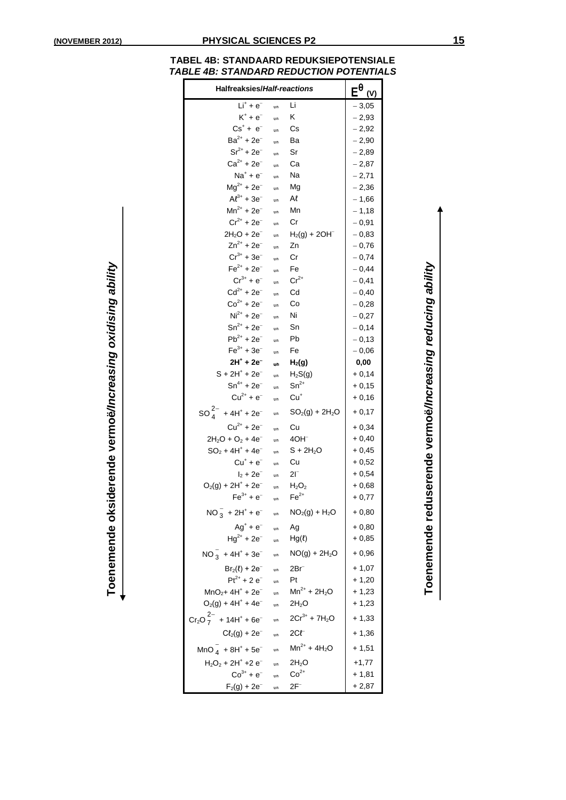**Toenemende reduserende vermoë***/Increasing reducing ability*

Toenemende reduserende vermoë/Increasing reducing ability

| <b>TABEL 4B: STANDAARD REDUKSIEPOTENSIALE</b>  |
|------------------------------------------------|
| <b>TABLE 4B: STANDARD REDUCTION POTENTIALS</b> |

| Halfreaksies/Half-reactions                         | $E^{\theta}$<br>(V) |                    |         |
|-----------------------------------------------------|---------------------|--------------------|---------|
| $Li+ + e-$                                          | $\equiv$            | Li                 | $-3,05$ |
| $K^+ + e^-$                                         | $\Rightarrow$       | ĸ                  | $-2,93$ |
| $Cs^+ + e^-$                                        | $\Rightarrow$       | Сs                 | $-2,92$ |
| $Ba^{2+} + 2e^{-}$                                  | $\Rightarrow$       | Ba                 | $-2,90$ |
| $Sr^{2+} + 2e^{-}$                                  | $\Rightarrow$       | Sr                 | $-2,89$ |
| $Ca^{2+} + 2e^{-}$                                  | $\equiv$            | Сa                 | $-2,87$ |
| $Na+ + e-$                                          | $\equiv$            | Na                 | $-2,71$ |
| $Mg^{2+} + 2e^{-}$                                  | $\equiv$            | Mg                 | $-2,36$ |
| $Al^{3+} + 3e^{-}$                                  | $\Rightarrow$       | Al                 | $-1,66$ |
| $Mn^{2+} + 2e^{-}$                                  | $\equiv$            | Mn                 | $-1,18$ |
| $Cr^{2+} + 2e^{-}$                                  | $\Rightarrow$       | Сr                 | $-0,91$ |
| $2H_2O + 2e^-$                                      | $\Rightarrow$       | $H_2(g) + 2OH^-$   | $-0,83$ |
| $Zn^{2+} + 2e^{-}$                                  | $\Rightarrow$       | Zn                 | $-0,76$ |
| $Cr^{3+} + 3e^{-}$                                  | $\Rightarrow$       | Cr                 | $-0,74$ |
| $Fe^{2+} + 2e^{-}$                                  | $\Rightarrow$       | Fe                 | $-0,44$ |
| $Cr^{3+} + e^{-}$                                   | $\Rightarrow$       | $Cr^{2+}$          | $-0,41$ |
| $Cd^{2+} + 2e^{-}$                                  | $\Rightarrow$       | Cd                 | $-0,40$ |
| $Co^{2+} + 2e^{-}$                                  | $\Rightarrow$       | Co                 | $-0,28$ |
| $Ni2+ + 2e-$                                        | $\Rightarrow$       | Ni                 | $-0,27$ |
| $Sn^{2+} + 2e^{-}$                                  | $\Rightarrow$       | Sn                 | $-0,14$ |
| $Pb^{2+} + 2e^{-}$                                  | $\Rightarrow$       | Pb                 | $-0,13$ |
| $Fe^{3+} + 3e^{-}$                                  | $\Rightarrow$       | Fe                 | $-0,06$ |
| $2H^{+}$ + $2e^{-}$                                 | $\rightarrow$       | H <sub>2</sub> (g) | 0,00    |
| S + 2H <sup>+</sup> + 2e <sup>-</sup>               | $\Rightarrow$       | $H_2S(g)$          | $+0,14$ |
| $Sn^{4+} + 2e^{-}$                                  | $\Rightarrow$       | $Sn^{2+}$          | $+0,15$ |
| $Cu^{2+} + e^{-}$                                   | $\Rightarrow$       | $Cu+$              | $+0,16$ |
| $SO_4^{2-}$ + 4H <sup>+</sup> + 2e <sup>-</sup>     | $\Rightarrow$       | $SO_2(g) + 2H_2O$  | $+0,17$ |
| $Cu^{2+} + 2e^{-}$                                  | $\equiv$            | Cu                 | $+0,34$ |
| $2H_2O + O_2 + 4e^-$                                | $\Rightarrow$       | $4OH^-$            | $+0,40$ |
| $SO_2 + 4H^+ + 4e^-$                                | $\Rightarrow$       | $S + 2H_2O$        | $+0,45$ |
| $Cu^+ + e^-$                                        | $\Rightarrow$       | Cu                 | $+0,52$ |
| $I_2 + 2e^-$                                        | $\Rightarrow$       | $2\mathsf{I}^-$    | $+0,54$ |
| $O_2(g) + 2H^+ + 2e^-$                              | $\Rightarrow$       | $H_2O_2$           | $+0,68$ |
| $Fe^{3+} + e^{-}$                                   | $\Rightarrow$       | $Fe2+$             | $+0,77$ |
| $NO_3^-$ + 2H <sup>+</sup> + e <sup>-</sup>         | $\Rightarrow$       | $NO2(g) + H2O$     | $+0,80$ |
| $Ag^+ + e^-$                                        | $\Rightarrow$       | Ag                 | $+0,80$ |
| $Hg^{2+} + 2e^{-}$                                  | $\Rightarrow$       | $Hg(\ell)$         | $+0,85$ |
| $NO_3^-$ + 4H <sup>+</sup> + 3e <sup>-</sup>        | $\Rightarrow$       | $NO(g) + 2H2O$     | $+0,96$ |
| $Br_2(\ell) + 2e^-$                                 | $\Rightarrow$       | 2Brī               | $+1,07$ |
| $Pt^{2+} + 2e^{-}$                                  | $\equiv$            | Pt                 | $+1,20$ |
| $MnO2+4H++2e-$                                      | $\Rightarrow$       | $Mn^{2+} + 2H_2O$  | $+1,23$ |
| $O_2(g) + 4H^+ + 4e^-$                              | $\Rightarrow$       | $2H_2O$            | $+1,23$ |
| $Cr_2O_7^{2-}$ + 14H <sup>+</sup> + 6e <sup>-</sup> | $\Rightarrow$       | $2Cr^{3+} + 7H_2O$ | $+1,33$ |
| $C\ell_2(g) + 2e^-$                                 | $\Rightarrow$       | $2Cf^-$            | $+1,36$ |
| $MnO_4^- + 8H^+ + 5e^-$                             | $\Rightarrow$       | $Mn^{2+} + 4H_2O$  | $+1,51$ |
| $H_2O_2$ + 2H <sup>+</sup> +2 $e^-$                 | $\Rightarrow$       | 2H <sub>2</sub> O  | $+1,77$ |
| $Co^{3+} + e^{-}$                                   | $\Rightarrow$       | $Co2+$             | $+1,81$ |
| $F_2(g) + 2e^{-}$                                   | $\Rightarrow$       | 2F <sup>-</sup>    | + 2,87  |

Toenemende oksiderende vermoë/Increasing oxidising ability **Toenemende oksiderende vermoë***/Increasing oxidising ability*

↓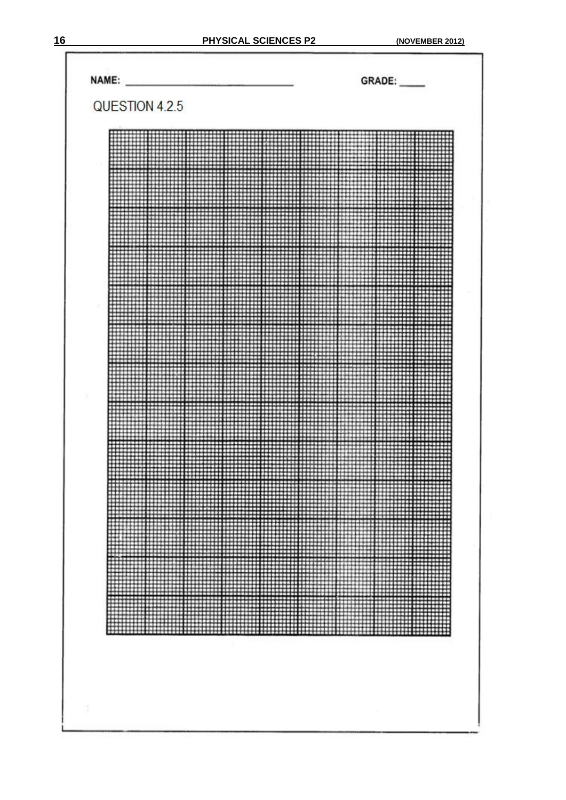